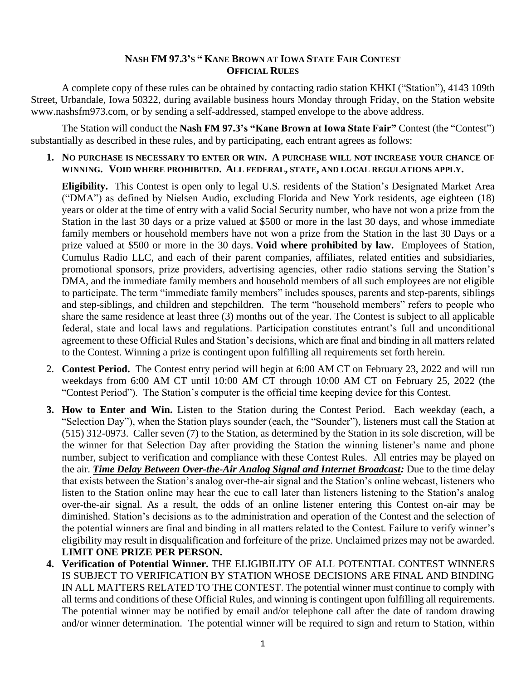## **NASH FM 97.3'S " KANE BROWN AT IOWA STATE FAIR CONTEST OFFICIAL RULES**

A complete copy of these rules can be obtained by contacting radio station KHKI ("Station"), 4143 109th Street, Urbandale, Iowa 50322, during available business hours Monday through Friday, on the Station website www.nashsfm973.com, or by sending a self-addressed, stamped envelope to the above address.

The Station will conduct the **Nash FM 97.3's "Kane Brown at Iowa State Fair"** Contest (the "Contest") substantially as described in these rules, and by participating, each entrant agrees as follows:

**1. NO PURCHASE IS NECESSARY TO ENTER OR WIN. A PURCHASE WILL NOT INCREASE YOUR CHANCE OF WINNING. VOID WHERE PROHIBITED. ALL FEDERAL, STATE, AND LOCAL REGULATIONS APPLY.**

**Eligibility.** This Contest is open only to legal U.S. residents of the Station's Designated Market Area ("DMA") as defined by Nielsen Audio, excluding Florida and New York residents, age eighteen (18) years or older at the time of entry with a valid Social Security number, who have not won a prize from the Station in the last 30 days or a prize valued at \$500 or more in the last 30 days, and whose immediate family members or household members have not won a prize from the Station in the last 30 Days or a prize valued at \$500 or more in the 30 days. **Void where prohibited by law.** Employees of Station, Cumulus Radio LLC, and each of their parent companies, affiliates, related entities and subsidiaries, promotional sponsors, prize providers, advertising agencies, other radio stations serving the Station's DMA, and the immediate family members and household members of all such employees are not eligible to participate. The term "immediate family members" includes spouses, parents and step-parents, siblings and step-siblings, and children and stepchildren. The term "household members" refers to people who share the same residence at least three (3) months out of the year. The Contest is subject to all applicable federal, state and local laws and regulations. Participation constitutes entrant's full and unconditional agreement to these Official Rules and Station's decisions, which are final and binding in all matters related to the Contest. Winning a prize is contingent upon fulfilling all requirements set forth herein.

- 2. **Contest Period.** The Contest entry period will begin at 6:00 AM CT on February 23, 2022 and will run weekdays from 6:00 AM CT until 10:00 AM CT through 10:00 AM CT on February 25, 2022 (the "Contest Period"). The Station's computer is the official time keeping device for this Contest.
- **3. How to Enter and Win.** Listen to the Station during the Contest Period. Each weekday (each, a "Selection Day"), when the Station plays sounder (each, the "Sounder"), listeners must call the Station at (515) 312-0973. Caller seven (7) to the Station, as determined by the Station in its sole discretion, will be the winner for that Selection Day after providing the Station the winning listener's name and phone number, subject to verification and compliance with these Contest Rules. All entries may be played on the air. *Time Delay Between Over-the-Air Analog Signal and Internet Broadcast:* Due to the time delay that exists between the Station's analog over-the-air signal and the Station's online webcast, listeners who listen to the Station online may hear the cue to call later than listeners listening to the Station's analog over-the-air signal. As a result, the odds of an online listener entering this Contest on-air may be diminished. Station's decisions as to the administration and operation of the Contest and the selection of the potential winners are final and binding in all matters related to the Contest. Failure to verify winner's eligibility may result in disqualification and forfeiture of the prize. Unclaimed prizes may not be awarded. **LIMIT ONE PRIZE PER PERSON.**
- **4. Verification of Potential Winner.** THE ELIGIBILITY OF ALL POTENTIAL CONTEST WINNERS IS SUBJECT TO VERIFICATION BY STATION WHOSE DECISIONS ARE FINAL AND BINDING IN ALL MATTERS RELATED TO THE CONTEST. The potential winner must continue to comply with all terms and conditions of these Official Rules, and winning is contingent upon fulfilling all requirements. The potential winner may be notified by email and/or telephone call after the date of random drawing and/or winner determination. The potential winner will be required to sign and return to Station, within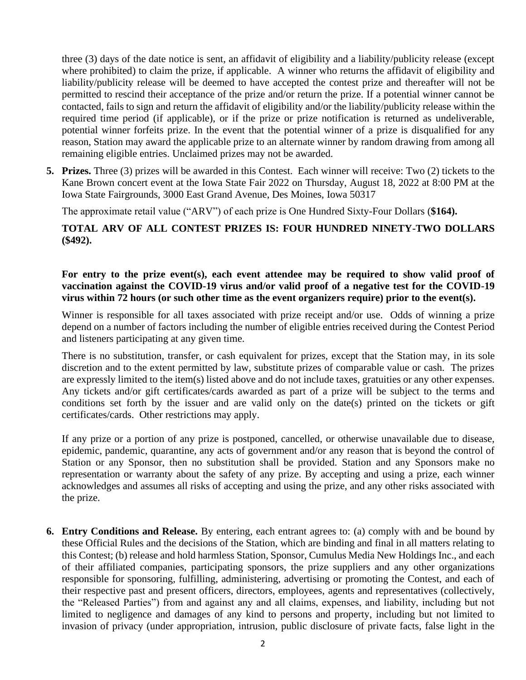three (3) days of the date notice is sent, an affidavit of eligibility and a liability/publicity release (except where prohibited) to claim the prize, if applicable. A winner who returns the affidavit of eligibility and liability/publicity release will be deemed to have accepted the contest prize and thereafter will not be permitted to rescind their acceptance of the prize and/or return the prize. If a potential winner cannot be contacted, fails to sign and return the affidavit of eligibility and/or the liability/publicity release within the required time period (if applicable), or if the prize or prize notification is returned as undeliverable, potential winner forfeits prize. In the event that the potential winner of a prize is disqualified for any reason, Station may award the applicable prize to an alternate winner by random drawing from among all remaining eligible entries. Unclaimed prizes may not be awarded.

**5. Prizes.** Three (3) prizes will be awarded in this Contest. Each winner will receive: Two (2) tickets to the Kane Brown concert event at the Iowa State Fair 2022 on Thursday, August 18, 2022 at 8:00 PM at the Iowa State Fairgrounds, 3000 East Grand Avenue, Des Moines, Iowa 50317

The approximate retail value ("ARV") of each prize is One Hundred Sixty-Four Dollars (**\$164).** 

## **TOTAL ARV OF ALL CONTEST PRIZES IS: FOUR HUNDRED NINETY-TWO DOLLARS (\$492).**

## **For entry to the prize event(s), each event attendee may be required to show valid proof of vaccination against the COVID-19 virus and/or valid proof of a negative test for the COVID-19 virus within 72 hours (or such other time as the event organizers require) prior to the event(s).**

Winner is responsible for all taxes associated with prize receipt and/or use. Odds of winning a prize depend on a number of factors including the number of eligible entries received during the Contest Period and listeners participating at any given time.

There is no substitution, transfer, or cash equivalent for prizes, except that the Station may, in its sole discretion and to the extent permitted by law, substitute prizes of comparable value or cash. The prizes are expressly limited to the item(s) listed above and do not include taxes, gratuities or any other expenses. Any tickets and/or gift certificates/cards awarded as part of a prize will be subject to the terms and conditions set forth by the issuer and are valid only on the date(s) printed on the tickets or gift certificates/cards. Other restrictions may apply.

If any prize or a portion of any prize is postponed, cancelled, or otherwise unavailable due to disease, epidemic, pandemic, quarantine, any acts of government and/or any reason that is beyond the control of Station or any Sponsor, then no substitution shall be provided. Station and any Sponsors make no representation or warranty about the safety of any prize. By accepting and using a prize, each winner acknowledges and assumes all risks of accepting and using the prize, and any other risks associated with the prize.

**6. Entry Conditions and Release.** By entering, each entrant agrees to: (a) comply with and be bound by these Official Rules and the decisions of the Station, which are binding and final in all matters relating to this Contest; (b) release and hold harmless Station, Sponsor, Cumulus Media New Holdings Inc., and each of their affiliated companies, participating sponsors, the prize suppliers and any other organizations responsible for sponsoring, fulfilling, administering, advertising or promoting the Contest, and each of their respective past and present officers, directors, employees, agents and representatives (collectively, the "Released Parties") from and against any and all claims, expenses, and liability, including but not limited to negligence and damages of any kind to persons and property, including but not limited to invasion of privacy (under appropriation, intrusion, public disclosure of private facts, false light in the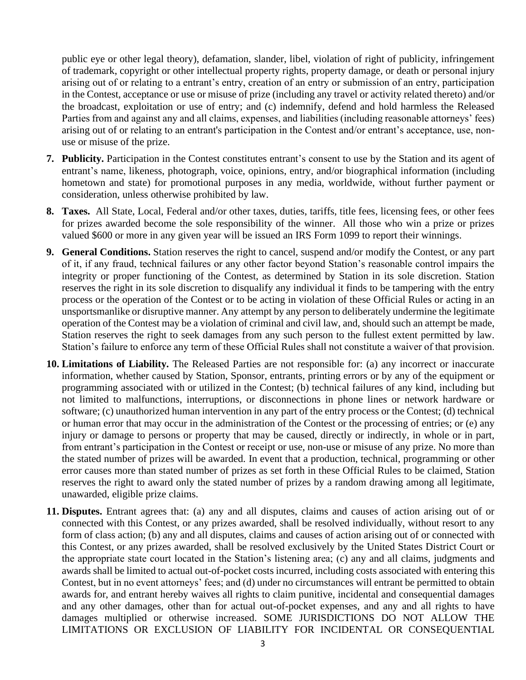public eye or other legal theory), defamation, slander, libel, violation of right of publicity, infringement of trademark, copyright or other intellectual property rights, property damage, or death or personal injury arising out of or relating to a entrant's entry, creation of an entry or submission of an entry, participation in the Contest, acceptance or use or misuse of prize (including any travel or activity related thereto) and/or the broadcast, exploitation or use of entry; and (c) indemnify, defend and hold harmless the Released Parties from and against any and all claims, expenses, and liabilities (including reasonable attorneys' fees) arising out of or relating to an entrant's participation in the Contest and/or entrant's acceptance, use, nonuse or misuse of the prize.

- **7. Publicity.** Participation in the Contest constitutes entrant's consent to use by the Station and its agent of entrant's name, likeness, photograph, voice, opinions, entry, and/or biographical information (including hometown and state) for promotional purposes in any media, worldwide, without further payment or consideration, unless otherwise prohibited by law.
- **8. Taxes.** All State, Local, Federal and/or other taxes, duties, tariffs, title fees, licensing fees, or other fees for prizes awarded become the sole responsibility of the winner. All those who win a prize or prizes valued \$600 or more in any given year will be issued an IRS Form 1099 to report their winnings.
- **9. General Conditions.** Station reserves the right to cancel, suspend and/or modify the Contest, or any part of it, if any fraud, technical failures or any other factor beyond Station's reasonable control impairs the integrity or proper functioning of the Contest, as determined by Station in its sole discretion. Station reserves the right in its sole discretion to disqualify any individual it finds to be tampering with the entry process or the operation of the Contest or to be acting in violation of these Official Rules or acting in an unsportsmanlike or disruptive manner. Any attempt by any person to deliberately undermine the legitimate operation of the Contest may be a violation of criminal and civil law, and, should such an attempt be made, Station reserves the right to seek damages from any such person to the fullest extent permitted by law. Station's failure to enforce any term of these Official Rules shall not constitute a waiver of that provision.
- **10. Limitations of Liability.** The Released Parties are not responsible for: (a) any incorrect or inaccurate information, whether caused by Station, Sponsor, entrants, printing errors or by any of the equipment or programming associated with or utilized in the Contest; (b) technical failures of any kind, including but not limited to malfunctions, interruptions, or disconnections in phone lines or network hardware or software; (c) unauthorized human intervention in any part of the entry process or the Contest; (d) technical or human error that may occur in the administration of the Contest or the processing of entries; or (e) any injury or damage to persons or property that may be caused, directly or indirectly, in whole or in part, from entrant's participation in the Contest or receipt or use, non-use or misuse of any prize. No more than the stated number of prizes will be awarded. In event that a production, technical, programming or other error causes more than stated number of prizes as set forth in these Official Rules to be claimed, Station reserves the right to award only the stated number of prizes by a random drawing among all legitimate, unawarded, eligible prize claims.
- **11. Disputes.** Entrant agrees that: (a) any and all disputes, claims and causes of action arising out of or connected with this Contest, or any prizes awarded, shall be resolved individually, without resort to any form of class action; (b) any and all disputes, claims and causes of action arising out of or connected with this Contest, or any prizes awarded, shall be resolved exclusively by the United States District Court or the appropriate state court located in the Station's listening area; (c) any and all claims, judgments and awards shall be limited to actual out-of-pocket costs incurred, including costs associated with entering this Contest, but in no event attorneys' fees; and (d) under no circumstances will entrant be permitted to obtain awards for, and entrant hereby waives all rights to claim punitive, incidental and consequential damages and any other damages, other than for actual out-of-pocket expenses, and any and all rights to have damages multiplied or otherwise increased. SOME JURISDICTIONS DO NOT ALLOW THE LIMITATIONS OR EXCLUSION OF LIABILITY FOR INCIDENTAL OR CONSEQUENTIAL